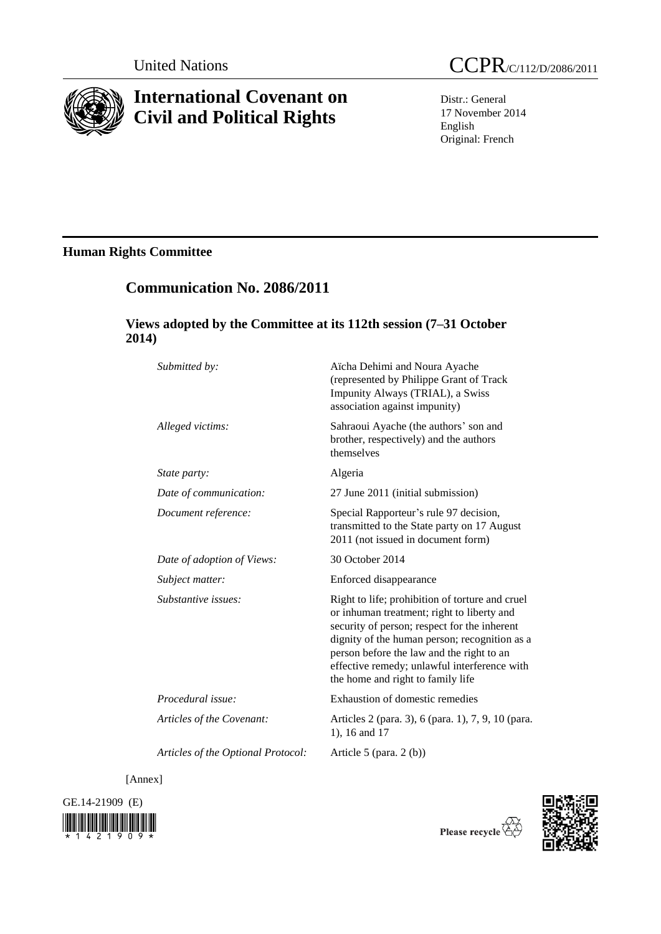

# **International Covenant on Civil and Political Rights**

Distr.: General 17 November 2014 English Original: French

## **Human Rights Committee**

## **Communication No. 2086/2011**

## **Views adopted by the Committee at its 112th session (7–31 October 2014)**

| Submitted by:                      | Aïcha Dehimi and Noura Ayache<br>(represented by Philippe Grant of Track<br>Impunity Always (TRIAL), a Swiss<br>association against impunity)                                                                                                                                                                                    |
|------------------------------------|----------------------------------------------------------------------------------------------------------------------------------------------------------------------------------------------------------------------------------------------------------------------------------------------------------------------------------|
| Alleged victims:                   | Sahraoui Ayache (the authors' son and<br>brother, respectively) and the authors<br>themselves                                                                                                                                                                                                                                    |
| <i>State party:</i>                | Algeria                                                                                                                                                                                                                                                                                                                          |
| Date of communication:             | 27 June 2011 (initial submission)                                                                                                                                                                                                                                                                                                |
| Document reference:                | Special Rapporteur's rule 97 decision,<br>transmitted to the State party on 17 August<br>2011 (not issued in document form)                                                                                                                                                                                                      |
| Date of adoption of Views:         | 30 October 2014                                                                                                                                                                                                                                                                                                                  |
| Subject matter:                    | Enforced disappearance                                                                                                                                                                                                                                                                                                           |
| Substantive issues:                | Right to life; prohibition of torture and cruel<br>or inhuman treatment; right to liberty and<br>security of person; respect for the inherent<br>dignity of the human person; recognition as a<br>person before the law and the right to an<br>effective remedy; unlawful interference with<br>the home and right to family life |
| Procedural issue:                  | Exhaustion of domestic remedies                                                                                                                                                                                                                                                                                                  |
| Articles of the Covenant:          | Articles 2 (para. 3), 6 (para. 1), 7, 9, 10 (para.<br>1), 16 and 17                                                                                                                                                                                                                                                              |
| Articles of the Optional Protocol: | Article 5 (para. $2(b)$ )                                                                                                                                                                                                                                                                                                        |

[Annex]





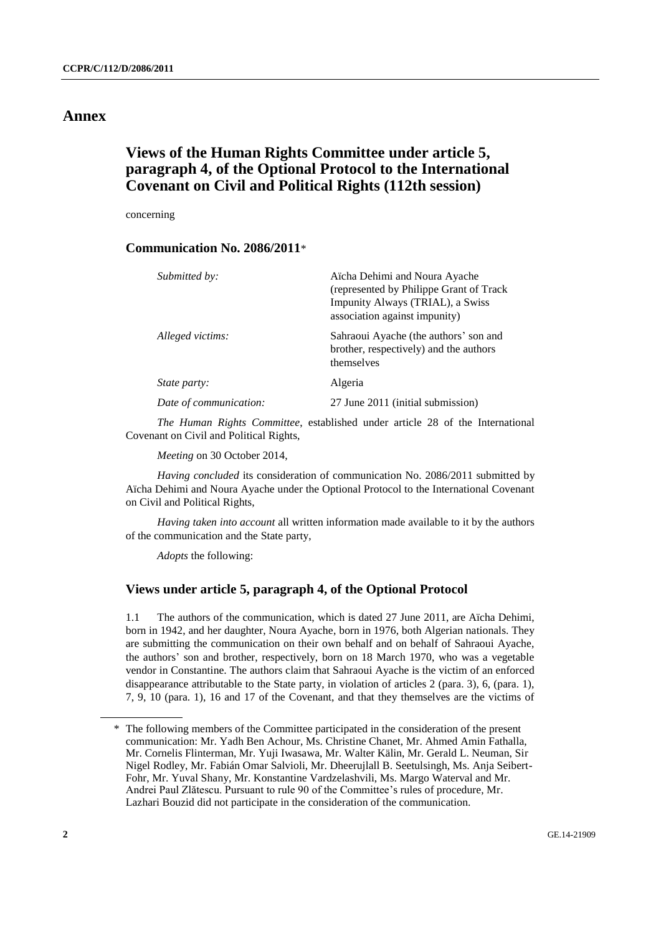## **Annex**

## **Views of the Human Rights Committee under article 5, paragraph 4, of the Optional Protocol to the International Covenant on Civil and Political Rights (112th session)**

concerning

### **Communication No. 2086/2011**\*

| Submitted by:          | Aïcha Dehimi and Noura Ayache<br>(represented by Philippe Grant of Track)<br>Impunity Always (TRIAL), a Swiss<br>association against impunity) |
|------------------------|------------------------------------------------------------------------------------------------------------------------------------------------|
| Alleged victims:       | Sahraoui Ayache (the authors' son and<br>brother, respectively) and the authors<br>themselves                                                  |
| <i>State party:</i>    | Algeria                                                                                                                                        |
| Date of communication: | 27 June 2011 (initial submission)                                                                                                              |

*The Human Rights Committee*, established under article 28 of the International Covenant on Civil and Political Rights,

*Meeting* on 30 October 2014,

*Having concluded* its consideration of communication No. 2086/2011 submitted by Aïcha Dehimi and Noura Ayache under the Optional Protocol to the International Covenant on Civil and Political Rights,

*Having taken into account* all written information made available to it by the authors of the communication and the State party,

*Adopts* the following:

### **Views under article 5, paragraph 4, of the Optional Protocol**

1.1 The authors of the communication, which is dated 27 June 2011, are Aïcha Dehimi, born in 1942, and her daughter, Noura Ayache, born in 1976, both Algerian nationals. They are submitting the communication on their own behalf and on behalf of Sahraoui Ayache, the authors' son and brother, respectively, born on 18 March 1970, who was a vegetable vendor in Constantine. The authors claim that Sahraoui Ayache is the victim of an enforced disappearance attributable to the State party, in violation of articles 2 (para. 3), 6, (para. 1), 7, 9, 10 (para. 1), 16 and 17 of the Covenant, and that they themselves are the victims of

<sup>\*</sup> The following members of the Committee participated in the consideration of the present communication: Mr. Yadh Ben Achour, Ms. Christine Chanet, Mr. Ahmed Amin Fathalla, Mr. Cornelis Flinterman, Mr. Yuji Iwasawa, Mr. Walter Kälin, Mr. Gerald L. Neuman, Sir Nigel Rodley, Mr. Fabián Omar Salvioli, Mr. Dheerujlall B. Seetulsingh, Ms. Anja Seibert-Fohr, Mr. Yuval Shany, Mr. Konstantine Vardzelashvili, Ms. Margo Waterval and Mr. Andrei Paul Zlătescu. Pursuant to rule 90 of the Committee's rules of procedure, Mr. Lazhari Bouzid did not participate in the consideration of the communication.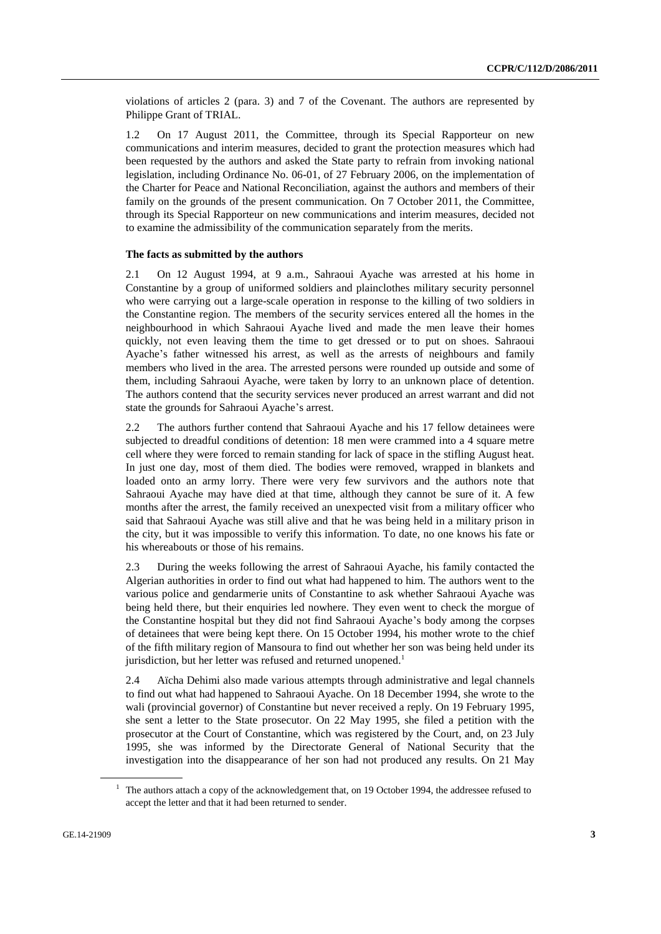violations of articles 2 (para. 3) and 7 of the Covenant. The authors are represented by Philippe Grant of TRIAL.

1.2 On 17 August 2011, the Committee, through its Special Rapporteur on new communications and interim measures, decided to grant the protection measures which had been requested by the authors and asked the State party to refrain from invoking national legislation, including Ordinance No. 06-01, of 27 February 2006, on the implementation of the Charter for Peace and National Reconciliation, against the authors and members of their family on the grounds of the present communication. On 7 October 2011, the Committee, through its Special Rapporteur on new communications and interim measures, decided not to examine the admissibility of the communication separately from the merits.

#### **The facts as submitted by the authors**

2.1 On 12 August 1994, at 9 a.m., Sahraoui Ayache was arrested at his home in Constantine by a group of uniformed soldiers and plainclothes military security personnel who were carrying out a large-scale operation in response to the killing of two soldiers in the Constantine region. The members of the security services entered all the homes in the neighbourhood in which Sahraoui Ayache lived and made the men leave their homes quickly, not even leaving them the time to get dressed or to put on shoes. Sahraoui Ayache's father witnessed his arrest, as well as the arrests of neighbours and family members who lived in the area. The arrested persons were rounded up outside and some of them, including Sahraoui Ayache, were taken by lorry to an unknown place of detention. The authors contend that the security services never produced an arrest warrant and did not state the grounds for Sahraoui Ayache's arrest.

2.2 The authors further contend that Sahraoui Ayache and his 17 fellow detainees were subjected to dreadful conditions of detention: 18 men were crammed into a 4 square metre cell where they were forced to remain standing for lack of space in the stifling August heat. In just one day, most of them died. The bodies were removed, wrapped in blankets and loaded onto an army lorry. There were very few survivors and the authors note that Sahraoui Ayache may have died at that time, although they cannot be sure of it. A few months after the arrest, the family received an unexpected visit from a military officer who said that Sahraoui Ayache was still alive and that he was being held in a military prison in the city, but it was impossible to verify this information. To date, no one knows his fate or his whereabouts or those of his remains.

2.3 During the weeks following the arrest of Sahraoui Ayache, his family contacted the Algerian authorities in order to find out what had happened to him. The authors went to the various police and gendarmerie units of Constantine to ask whether Sahraoui Ayache was being held there, but their enquiries led nowhere. They even went to check the morgue of the Constantine hospital but they did not find Sahraoui Ayache's body among the corpses of detainees that were being kept there. On 15 October 1994, his mother wrote to the chief of the fifth military region of Mansoura to find out whether her son was being held under its jurisdiction, but her letter was refused and returned unopened.<sup>1</sup>

2.4 Aïcha Dehimi also made various attempts through administrative and legal channels to find out what had happened to Sahraoui Ayache. On 18 December 1994, she wrote to the wali (provincial governor) of Constantine but never received a reply. On 19 February 1995, she sent a letter to the State prosecutor. On 22 May 1995, she filed a petition with the prosecutor at the Court of Constantine, which was registered by the Court, and, on 23 July 1995, she was informed by the Directorate General of National Security that the investigation into the disappearance of her son had not produced any results. On 21 May

<sup>&</sup>lt;sup>1</sup> The authors attach a copy of the acknowledgement that, on 19 October 1994, the addressee refused to accept the letter and that it had been returned to sender.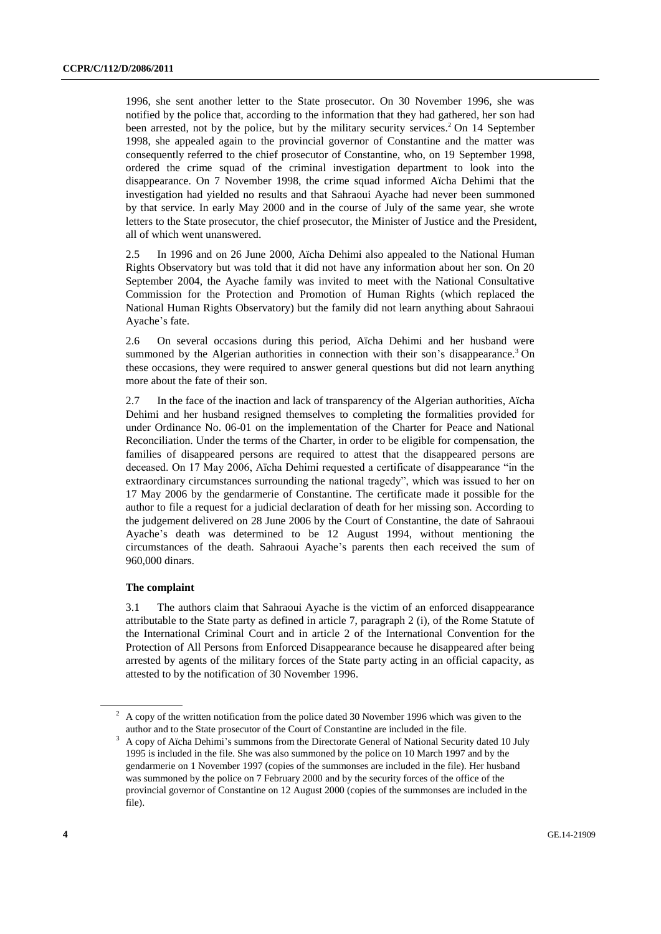1996, she sent another letter to the State prosecutor. On 30 November 1996, she was notified by the police that, according to the information that they had gathered, her son had been arrested, not by the police, but by the military security services.<sup>2</sup> On 14 September 1998, she appealed again to the provincial governor of Constantine and the matter was consequently referred to the chief prosecutor of Constantine, who, on 19 September 1998, ordered the crime squad of the criminal investigation department to look into the disappearance. On 7 November 1998, the crime squad informed Aïcha Dehimi that the investigation had yielded no results and that Sahraoui Ayache had never been summoned by that service. In early May 2000 and in the course of July of the same year, she wrote letters to the State prosecutor, the chief prosecutor, the Minister of Justice and the President, all of which went unanswered.

2.5 In 1996 and on 26 June 2000, Aïcha Dehimi also appealed to the National Human Rights Observatory but was told that it did not have any information about her son. On 20 September 2004, the Ayache family was invited to meet with the National Consultative Commission for the Protection and Promotion of Human Rights (which replaced the National Human Rights Observatory) but the family did not learn anything about Sahraoui Ayache's fate.

2.6 On several occasions during this period, Aïcha Dehimi and her husband were summoned by the Algerian authorities in connection with their son's disappearance.<sup>3</sup> On these occasions, they were required to answer general questions but did not learn anything more about the fate of their son.

2.7 In the face of the inaction and lack of transparency of the Algerian authorities, Aïcha Dehimi and her husband resigned themselves to completing the formalities provided for under Ordinance No. 06-01 on the implementation of the Charter for Peace and National Reconciliation. Under the terms of the Charter, in order to be eligible for compensation, the families of disappeared persons are required to attest that the disappeared persons are deceased. On 17 May 2006, Aïcha Dehimi requested a certificate of disappearance "in the extraordinary circumstances surrounding the national tragedy", which was issued to her on 17 May 2006 by the gendarmerie of Constantine. The certificate made it possible for the author to file a request for a judicial declaration of death for her missing son. According to the judgement delivered on 28 June 2006 by the Court of Constantine, the date of Sahraoui Ayache's death was determined to be 12 August 1994, without mentioning the circumstances of the death. Sahraoui Ayache's parents then each received the sum of 960,000 dinars.

#### **The complaint**

3.1 The authors claim that Sahraoui Ayache is the victim of an enforced disappearance attributable to the State party as defined in article 7, paragraph 2 (i), of the Rome Statute of the International Criminal Court and in article 2 of the International Convention for the Protection of All Persons from Enforced Disappearance because he disappeared after being arrested by agents of the military forces of the State party acting in an official capacity, as attested to by the notification of 30 November 1996.

 $2 \text{ A copy of the written notification from the police dated 30 November 1996 which was given to the$ author and to the State prosecutor of the Court of Constantine are included in the file.

<sup>3</sup> A copy of Aïcha Dehimi's summons from the Directorate General of National Security dated 10 July 1995 is included in the file. She was also summoned by the police on 10 March 1997 and by the gendarmerie on 1 November 1997 (copies of the summonses are included in the file). Her husband was summoned by the police on 7 February 2000 and by the security forces of the office of the provincial governor of Constantine on 12 August 2000 (copies of the summonses are included in the file).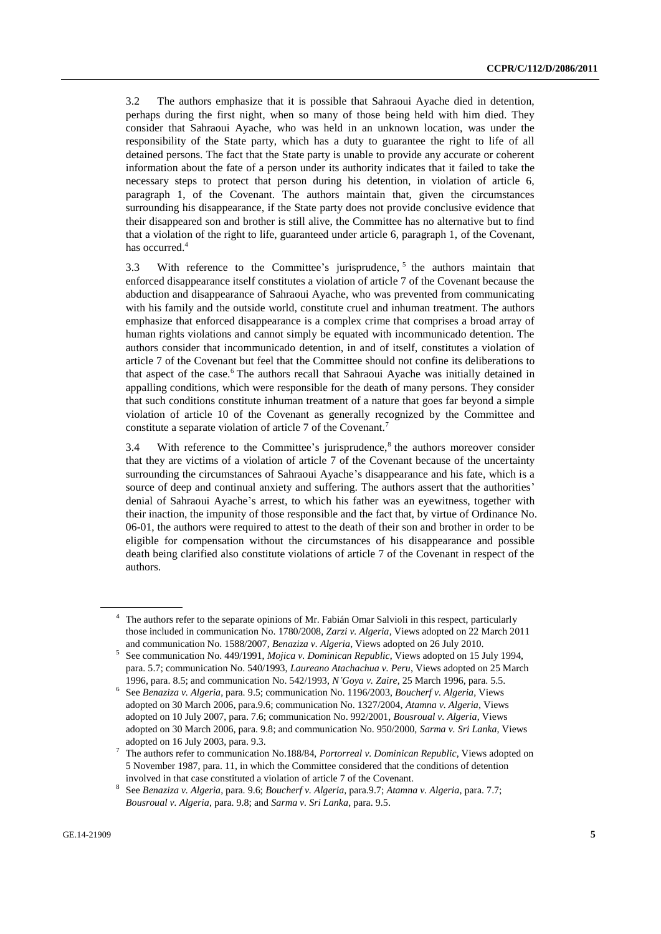3.2 The authors emphasize that it is possible that Sahraoui Ayache died in detention, perhaps during the first night, when so many of those being held with him died. They consider that Sahraoui Ayache, who was held in an unknown location, was under the responsibility of the State party, which has a duty to guarantee the right to life of all detained persons. The fact that the State party is unable to provide any accurate or coherent information about the fate of a person under its authority indicates that it failed to take the necessary steps to protect that person during his detention, in violation of article 6, paragraph 1, of the Covenant. The authors maintain that, given the circumstances surrounding his disappearance, if the State party does not provide conclusive evidence that their disappeared son and brother is still alive, the Committee has no alternative but to find that a violation of the right to life, guaranteed under article 6, paragraph 1, of the Covenant, has occurred.<sup>4</sup>

3.3 With reference to the Committee's jurisprudence,  $5$  the authors maintain that enforced disappearance itself constitutes a violation of article 7 of the Covenant because the abduction and disappearance of Sahraoui Ayache, who was prevented from communicating with his family and the outside world, constitute cruel and inhuman treatment. The authors emphasize that enforced disappearance is a complex crime that comprises a broad array of human rights violations and cannot simply be equated with incommunicado detention. The authors consider that incommunicado detention, in and of itself, constitutes a violation of article 7 of the Covenant but feel that the Committee should not confine its deliberations to that aspect of the case.<sup>6</sup> The authors recall that Sahraoui Ayache was initially detained in appalling conditions, which were responsible for the death of many persons. They consider that such conditions constitute inhuman treatment of a nature that goes far beyond a simple violation of article 10 of the Covenant as generally recognized by the Committee and constitute a separate violation of article 7 of the Covenant.<sup>7</sup>

3.4 With reference to the Committee's jurisprudence, $8$  the authors moreover consider that they are victims of a violation of article 7 of the Covenant because of the uncertainty surrounding the circumstances of Sahraoui Ayache's disappearance and his fate, which is a source of deep and continual anxiety and suffering. The authors assert that the authorities' denial of Sahraoui Ayache's arrest, to which his father was an eyewitness, together with their inaction, the impunity of those responsible and the fact that, by virtue of Ordinance No. 06-01, the authors were required to attest to the death of their son and brother in order to be eligible for compensation without the circumstances of his disappearance and possible death being clarified also constitute violations of article 7 of the Covenant in respect of the authors.

<sup>4</sup> The authors refer to the separate opinions of Mr. Fabián Omar Salvioli in this respect, particularly those included in communication No. 1780/2008, *Zarzi v. Algeria*, Views adopted on 22 March 2011 and communication No. 1588/2007, *Benaziza v. Algeria*, Views adopted on 26 July 2010.

<sup>5</sup> See communication No. 449/1991, *Mojica v. Dominican Republic*, Views adopted on 15 July 1994, para. 5.7; communication No. 540/1993, *Laureano Atachachua v. Peru*, Views adopted on 25 March 1996, para. 8.5; and communication No. 542/1993, *N'Goya v. Zaire*, 25 March 1996, para. 5.5.

<sup>6</sup> See *Benaziza v. Algeria*, para. 9.5; communication No. 1196/2003, *Boucherf v. Algeria*, Views adopted on 30 March 2006, para.9.6; communication No. 1327/2004, *Atamna v. Algeria*, Views adopted on 10 July 2007, para. 7.6; communication No. 992/2001, *Bousroual v. Algeria*, Views adopted on 30 March 2006, para. 9.8; and communication No. 950/2000, *Sarma v. Sri Lanka*, Views adopted on 16 July 2003, para. 9.3.

<sup>7</sup> The authors refer to communication No.188/84, *Portorreal v. Dominican Republic*, Views adopted on 5 November 1987, para. 11, in which the Committee considered that the conditions of detention involved in that case constituted a violation of article 7 of the Covenant.

<sup>8</sup> See *Benaziza v. Algeria*, para. 9.6; *Boucherf v. Algeria*, para.9.7; *Atamna v. Algeria*, para. 7.7; *Bousroual v. Algeria*, para. 9.8; and *Sarma v. Sri Lanka*, para. 9.5.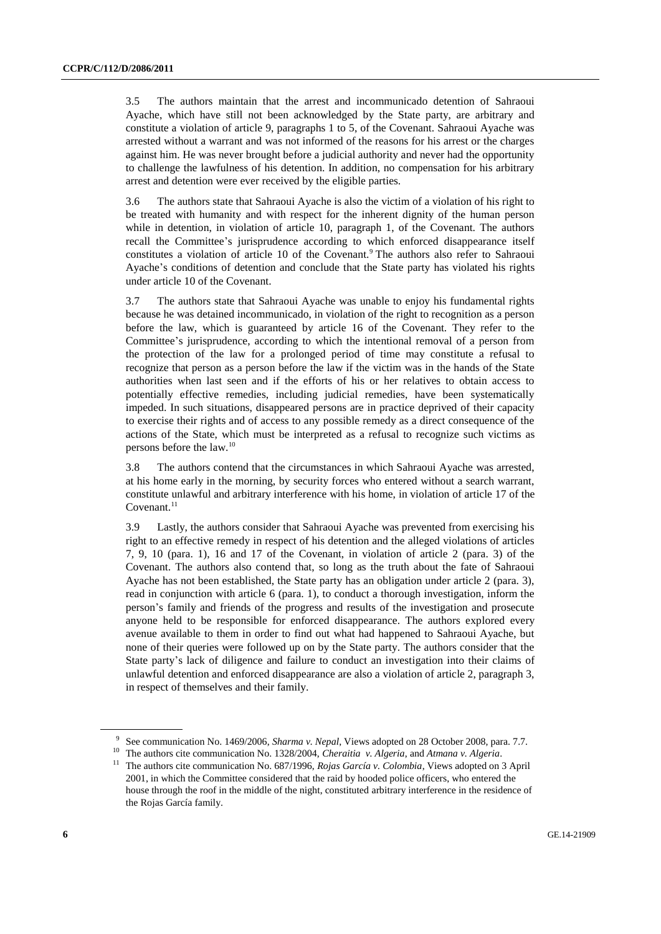3.5 The authors maintain that the arrest and incommunicado detention of Sahraoui Ayache, which have still not been acknowledged by the State party, are arbitrary and constitute a violation of article 9, paragraphs 1 to 5, of the Covenant. Sahraoui Ayache was arrested without a warrant and was not informed of the reasons for his arrest or the charges against him. He was never brought before a judicial authority and never had the opportunity to challenge the lawfulness of his detention. In addition, no compensation for his arbitrary arrest and detention were ever received by the eligible parties.

3.6 The authors state that Sahraoui Ayache is also the victim of a violation of his right to be treated with humanity and with respect for the inherent dignity of the human person while in detention, in violation of article 10, paragraph 1, of the Covenant. The authors recall the Committee's jurisprudence according to which enforced disappearance itself constitutes a violation of article 10 of the Covenant.<sup>9</sup> The authors also refer to Sahraoui Ayache's conditions of detention and conclude that the State party has violated his rights under article 10 of the Covenant.

3.7 The authors state that Sahraoui Ayache was unable to enjoy his fundamental rights because he was detained incommunicado, in violation of the right to recognition as a person before the law, which is guaranteed by article 16 of the Covenant. They refer to the Committee's jurisprudence, according to which the intentional removal of a person from the protection of the law for a prolonged period of time may constitute a refusal to recognize that person as a person before the law if the victim was in the hands of the State authorities when last seen and if the efforts of his or her relatives to obtain access to potentially effective remedies, including judicial remedies, have been systematically impeded. In such situations, disappeared persons are in practice deprived of their capacity to exercise their rights and of access to any possible remedy as a direct consequence of the actions of the State, which must be interpreted as a refusal to recognize such victims as persons before the law.<sup>10</sup>

3.8 The authors contend that the circumstances in which Sahraoui Ayache was arrested, at his home early in the morning, by security forces who entered without a search warrant, constitute unlawful and arbitrary interference with his home, in violation of article 17 of the  $Covenant.<sup>11</sup>$ 

3.9 Lastly, the authors consider that Sahraoui Ayache was prevented from exercising his right to an effective remedy in respect of his detention and the alleged violations of articles 7, 9, 10 (para. 1), 16 and 17 of the Covenant, in violation of article 2 (para. 3) of the Covenant. The authors also contend that, so long as the truth about the fate of Sahraoui Ayache has not been established, the State party has an obligation under article 2 (para. 3), read in conjunction with article 6 (para. 1), to conduct a thorough investigation, inform the person's family and friends of the progress and results of the investigation and prosecute anyone held to be responsible for enforced disappearance. The authors explored every avenue available to them in order to find out what had happened to Sahraoui Ayache, but none of their queries were followed up on by the State party. The authors consider that the State party's lack of diligence and failure to conduct an investigation into their claims of unlawful detention and enforced disappearance are also a violation of article 2, paragraph 3, in respect of themselves and their family.

<sup>9</sup> See communication No. 1469/2006, *Sharma v. Nepal*, Views adopted on 28 October 2008, para. 7.7.

<sup>10</sup> The authors cite communication No. 1328/2004, *Cheraitia v. Algeria*, and *Atmana v. Algeria*.

<sup>&</sup>lt;sup>11</sup> The authors cite communication No. 687/1996, *Rojas García v. Colombia*, Views adopted on 3 April 2001, in which the Committee considered that the raid by hooded police officers, who entered the house through the roof in the middle of the night, constituted arbitrary interference in the residence of the Rojas García family.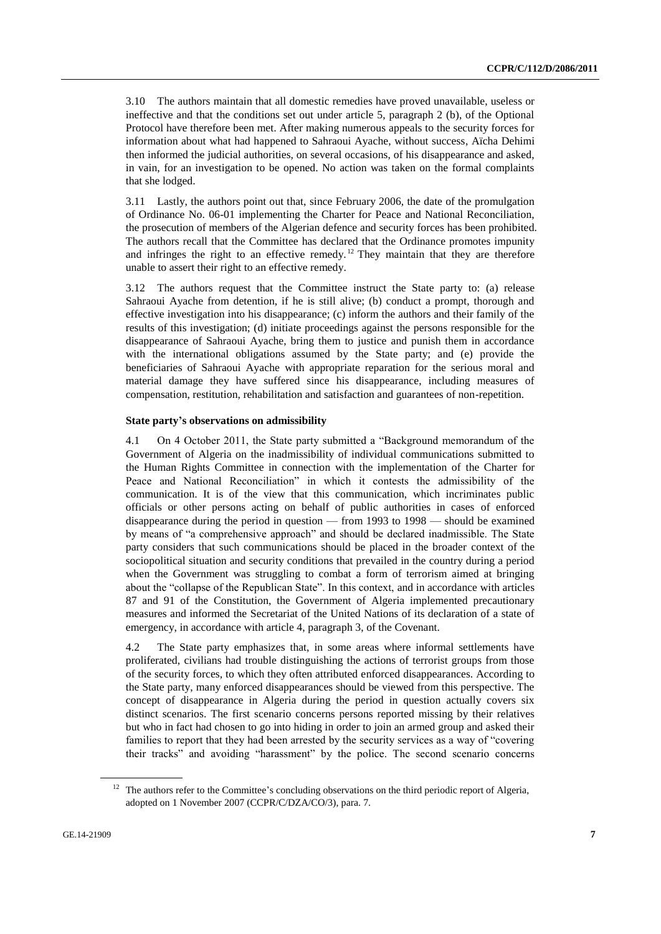3.10 The authors maintain that all domestic remedies have proved unavailable, useless or ineffective and that the conditions set out under article 5, paragraph 2 (b), of the Optional Protocol have therefore been met. After making numerous appeals to the security forces for information about what had happened to Sahraoui Ayache, without success, Aïcha Dehimi then informed the judicial authorities, on several occasions, of his disappearance and asked, in vain, for an investigation to be opened. No action was taken on the formal complaints that she lodged.

3.11 Lastly, the authors point out that, since February 2006, the date of the promulgation of Ordinance No. 06-01 implementing the Charter for Peace and National Reconciliation, the prosecution of members of the Algerian defence and security forces has been prohibited. The authors recall that the Committee has declared that the Ordinance promotes impunity and infringes the right to an effective remedy.<sup>12</sup> They maintain that they are therefore unable to assert their right to an effective remedy.

3.12 The authors request that the Committee instruct the State party to: (a) release Sahraoui Ayache from detention, if he is still alive; (b) conduct a prompt, thorough and effective investigation into his disappearance; (c) inform the authors and their family of the results of this investigation; (d) initiate proceedings against the persons responsible for the disappearance of Sahraoui Ayache, bring them to justice and punish them in accordance with the international obligations assumed by the State party; and (e) provide the beneficiaries of Sahraoui Ayache with appropriate reparation for the serious moral and material damage they have suffered since his disappearance, including measures of compensation, restitution, rehabilitation and satisfaction and guarantees of non-repetition.

#### **State party's observations on admissibility**

4.1 On 4 October 2011, the State party submitted a "Background memorandum of the Government of Algeria on the inadmissibility of individual communications submitted to the Human Rights Committee in connection with the implementation of the Charter for Peace and National Reconciliation" in which it contests the admissibility of the communication. It is of the view that this communication, which incriminates public officials or other persons acting on behalf of public authorities in cases of enforced disappearance during the period in question — from 1993 to 1998 — should be examined by means of "a comprehensive approach" and should be declared inadmissible. The State party considers that such communications should be placed in the broader context of the sociopolitical situation and security conditions that prevailed in the country during a period when the Government was struggling to combat a form of terrorism aimed at bringing about the "collapse of the Republican State". In this context, and in accordance with articles 87 and 91 of the Constitution, the Government of Algeria implemented precautionary measures and informed the Secretariat of the United Nations of its declaration of a state of emergency, in accordance with article 4, paragraph 3, of the Covenant.

4.2 The State party emphasizes that, in some areas where informal settlements have proliferated, civilians had trouble distinguishing the actions of terrorist groups from those of the security forces, to which they often attributed enforced disappearances. According to the State party, many enforced disappearances should be viewed from this perspective. The concept of disappearance in Algeria during the period in question actually covers six distinct scenarios. The first scenario concerns persons reported missing by their relatives but who in fact had chosen to go into hiding in order to join an armed group and asked their families to report that they had been arrested by the security services as a way of "covering their tracks" and avoiding "harassment" by the police. The second scenario concerns

<sup>&</sup>lt;sup>12</sup> The authors refer to the Committee's concluding observations on the third periodic report of Algeria, adopted on 1 November 2007 (CCPR/C/DZA/CO/3), para. 7.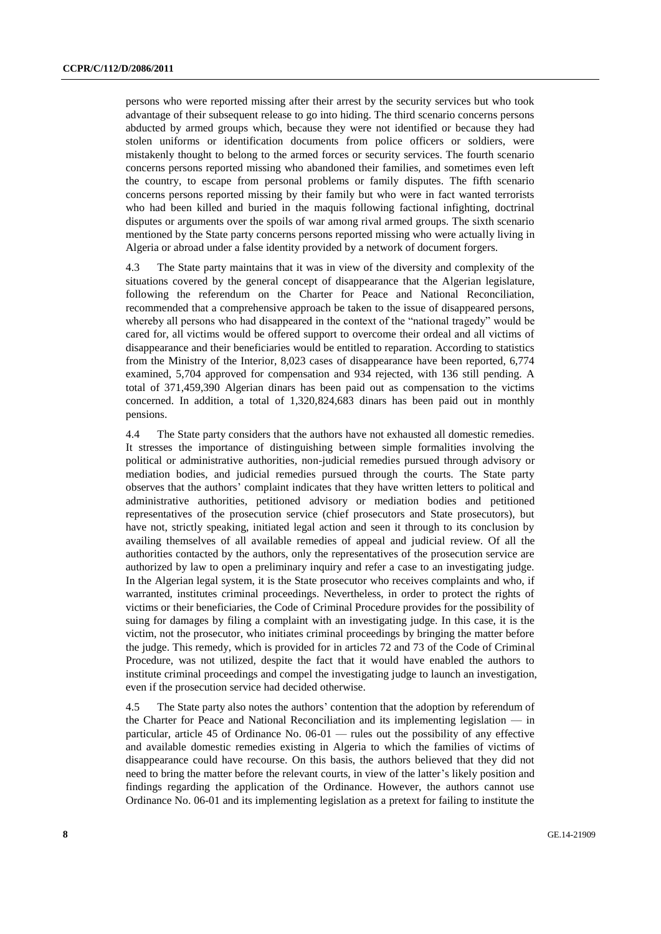persons who were reported missing after their arrest by the security services but who took advantage of their subsequent release to go into hiding. The third scenario concerns persons abducted by armed groups which, because they were not identified or because they had stolen uniforms or identification documents from police officers or soldiers, were mistakenly thought to belong to the armed forces or security services. The fourth scenario concerns persons reported missing who abandoned their families, and sometimes even left the country, to escape from personal problems or family disputes. The fifth scenario concerns persons reported missing by their family but who were in fact wanted terrorists who had been killed and buried in the maquis following factional infighting, doctrinal disputes or arguments over the spoils of war among rival armed groups. The sixth scenario mentioned by the State party concerns persons reported missing who were actually living in Algeria or abroad under a false identity provided by a network of document forgers.

4.3 The State party maintains that it was in view of the diversity and complexity of the situations covered by the general concept of disappearance that the Algerian legislature, following the referendum on the Charter for Peace and National Reconciliation, recommended that a comprehensive approach be taken to the issue of disappeared persons, whereby all persons who had disappeared in the context of the "national tragedy" would be cared for, all victims would be offered support to overcome their ordeal and all victims of disappearance and their beneficiaries would be entitled to reparation. According to statistics from the Ministry of the Interior, 8,023 cases of disappearance have been reported, 6,774 examined, 5,704 approved for compensation and 934 rejected, with 136 still pending. A total of 371,459,390 Algerian dinars has been paid out as compensation to the victims concerned. In addition, a total of 1,320,824,683 dinars has been paid out in monthly pensions.

4.4 The State party considers that the authors have not exhausted all domestic remedies. It stresses the importance of distinguishing between simple formalities involving the political or administrative authorities, non-judicial remedies pursued through advisory or mediation bodies, and judicial remedies pursued through the courts. The State party observes that the authors' complaint indicates that they have written letters to political and administrative authorities, petitioned advisory or mediation bodies and petitioned representatives of the prosecution service (chief prosecutors and State prosecutors), but have not, strictly speaking, initiated legal action and seen it through to its conclusion by availing themselves of all available remedies of appeal and judicial review. Of all the authorities contacted by the authors, only the representatives of the prosecution service are authorized by law to open a preliminary inquiry and refer a case to an investigating judge. In the Algerian legal system, it is the State prosecutor who receives complaints and who, if warranted, institutes criminal proceedings. Nevertheless, in order to protect the rights of victims or their beneficiaries, the Code of Criminal Procedure provides for the possibility of suing for damages by filing a complaint with an investigating judge. In this case, it is the victim, not the prosecutor, who initiates criminal proceedings by bringing the matter before the judge. This remedy, which is provided for in articles 72 and 73 of the Code of Criminal Procedure, was not utilized, despite the fact that it would have enabled the authors to institute criminal proceedings and compel the investigating judge to launch an investigation, even if the prosecution service had decided otherwise.

4.5 The State party also notes the authors' contention that the adoption by referendum of the Charter for Peace and National Reconciliation and its implementing legislation — in particular, article 45 of Ordinance No. 06-01 — rules out the possibility of any effective and available domestic remedies existing in Algeria to which the families of victims of disappearance could have recourse. On this basis, the authors believed that they did not need to bring the matter before the relevant courts, in view of the latter's likely position and findings regarding the application of the Ordinance. However, the authors cannot use Ordinance No. 06-01 and its implementing legislation as a pretext for failing to institute the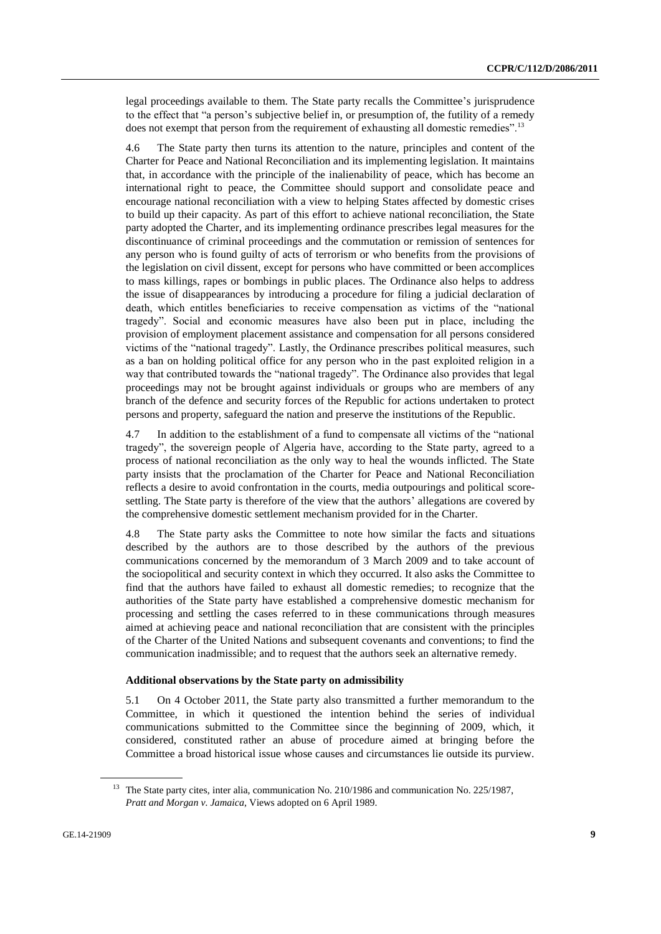legal proceedings available to them. The State party recalls the Committee's jurisprudence to the effect that "a person's subjective belief in, or presumption of, the futility of a remedy does not exempt that person from the requirement of exhausting all domestic remedies".<sup>13</sup>

4.6 The State party then turns its attention to the nature, principles and content of the Charter for Peace and National Reconciliation and its implementing legislation. It maintains that, in accordance with the principle of the inalienability of peace, which has become an international right to peace, the Committee should support and consolidate peace and encourage national reconciliation with a view to helping States affected by domestic crises to build up their capacity. As part of this effort to achieve national reconciliation, the State party adopted the Charter, and its implementing ordinance prescribes legal measures for the discontinuance of criminal proceedings and the commutation or remission of sentences for any person who is found guilty of acts of terrorism or who benefits from the provisions of the legislation on civil dissent, except for persons who have committed or been accomplices to mass killings, rapes or bombings in public places. The Ordinance also helps to address the issue of disappearances by introducing a procedure for filing a judicial declaration of death, which entitles beneficiaries to receive compensation as victims of the "national tragedy". Social and economic measures have also been put in place, including the provision of employment placement assistance and compensation for all persons considered victims of the "national tragedy". Lastly, the Ordinance prescribes political measures, such as a ban on holding political office for any person who in the past exploited religion in a way that contributed towards the "national tragedy". The Ordinance also provides that legal proceedings may not be brought against individuals or groups who are members of any branch of the defence and security forces of the Republic for actions undertaken to protect persons and property, safeguard the nation and preserve the institutions of the Republic.

4.7 In addition to the establishment of a fund to compensate all victims of the "national tragedy", the sovereign people of Algeria have, according to the State party, agreed to a process of national reconciliation as the only way to heal the wounds inflicted. The State party insists that the proclamation of the Charter for Peace and National Reconciliation reflects a desire to avoid confrontation in the courts, media outpourings and political scoresettling. The State party is therefore of the view that the authors' allegations are covered by the comprehensive domestic settlement mechanism provided for in the Charter.

4.8 The State party asks the Committee to note how similar the facts and situations described by the authors are to those described by the authors of the previous communications concerned by the memorandum of 3 March 2009 and to take account of the sociopolitical and security context in which they occurred. It also asks the Committee to find that the authors have failed to exhaust all domestic remedies; to recognize that the authorities of the State party have established a comprehensive domestic mechanism for processing and settling the cases referred to in these communications through measures aimed at achieving peace and national reconciliation that are consistent with the principles of the Charter of the United Nations and subsequent covenants and conventions; to find the communication inadmissible; and to request that the authors seek an alternative remedy.

#### **Additional observations by the State party on admissibility**

5.1 On 4 October 2011, the State party also transmitted a further memorandum to the Committee, in which it questioned the intention behind the series of individual communications submitted to the Committee since the beginning of 2009, which, it considered, constituted rather an abuse of procedure aimed at bringing before the Committee a broad historical issue whose causes and circumstances lie outside its purview.

<sup>&</sup>lt;sup>13</sup> The State party cites, inter alia, communication No. 210/1986 and communication No. 225/1987, *Pratt and Morgan v. Jamaica*, Views adopted on 6 April 1989.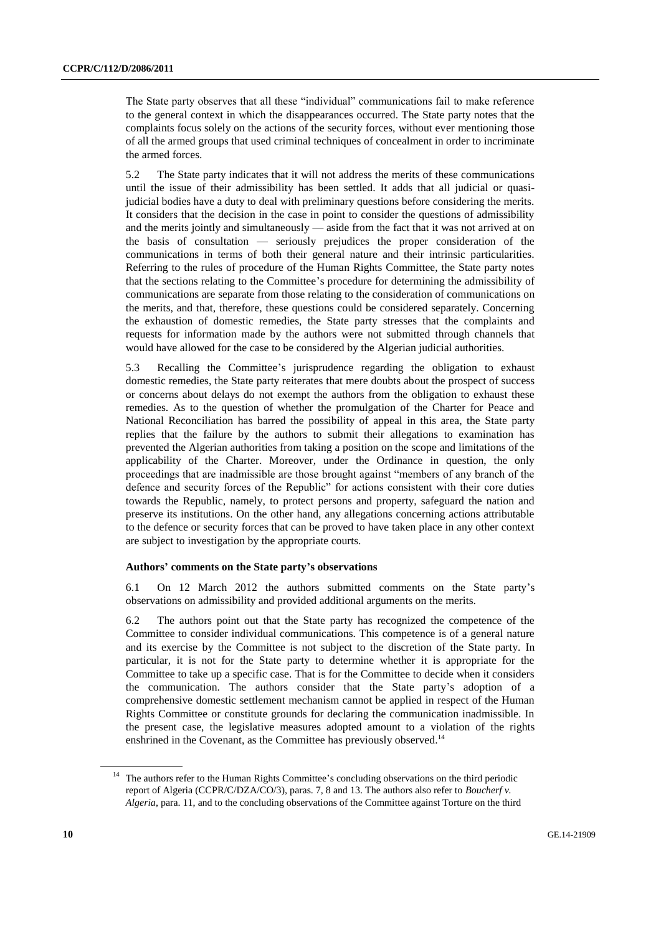The State party observes that all these "individual" communications fail to make reference to the general context in which the disappearances occurred. The State party notes that the complaints focus solely on the actions of the security forces, without ever mentioning those of all the armed groups that used criminal techniques of concealment in order to incriminate the armed forces.

5.2 The State party indicates that it will not address the merits of these communications until the issue of their admissibility has been settled. It adds that all judicial or quasijudicial bodies have a duty to deal with preliminary questions before considering the merits. It considers that the decision in the case in point to consider the questions of admissibility and the merits jointly and simultaneously — aside from the fact that it was not arrived at on the basis of consultation — seriously prejudices the proper consideration of the communications in terms of both their general nature and their intrinsic particularities. Referring to the rules of procedure of the Human Rights Committee, the State party notes that the sections relating to the Committee's procedure for determining the admissibility of communications are separate from those relating to the consideration of communications on the merits, and that, therefore, these questions could be considered separately. Concerning the exhaustion of domestic remedies, the State party stresses that the complaints and requests for information made by the authors were not submitted through channels that would have allowed for the case to be considered by the Algerian judicial authorities.

5.3 Recalling the Committee's jurisprudence regarding the obligation to exhaust domestic remedies, the State party reiterates that mere doubts about the prospect of success or concerns about delays do not exempt the authors from the obligation to exhaust these remedies. As to the question of whether the promulgation of the Charter for Peace and National Reconciliation has barred the possibility of appeal in this area, the State party replies that the failure by the authors to submit their allegations to examination has prevented the Algerian authorities from taking a position on the scope and limitations of the applicability of the Charter. Moreover, under the Ordinance in question, the only proceedings that are inadmissible are those brought against "members of any branch of the defence and security forces of the Republic" for actions consistent with their core duties towards the Republic, namely, to protect persons and property, safeguard the nation and preserve its institutions. On the other hand, any allegations concerning actions attributable to the defence or security forces that can be proved to have taken place in any other context are subject to investigation by the appropriate courts.

#### **Authors' comments on the State party's observations**

6.1 On 12 March 2012 the authors submitted comments on the State party's observations on admissibility and provided additional arguments on the merits.

6.2 The authors point out that the State party has recognized the competence of the Committee to consider individual communications. This competence is of a general nature and its exercise by the Committee is not subject to the discretion of the State party. In particular, it is not for the State party to determine whether it is appropriate for the Committee to take up a specific case. That is for the Committee to decide when it considers the communication. The authors consider that the State party's adoption of a comprehensive domestic settlement mechanism cannot be applied in respect of the Human Rights Committee or constitute grounds for declaring the communication inadmissible. In the present case, the legislative measures adopted amount to a violation of the rights enshrined in the Covenant, as the Committee has previously observed.<sup>14</sup>

<sup>&</sup>lt;sup>14</sup> The authors refer to the Human Rights Committee's concluding observations on the third periodic report of Algeria (CCPR/C/DZA/CO/3), paras. 7, 8 and 13. The authors also refer to *Boucherf v. Algeria*, para. 11, and to the concluding observations of the Committee against Torture on the third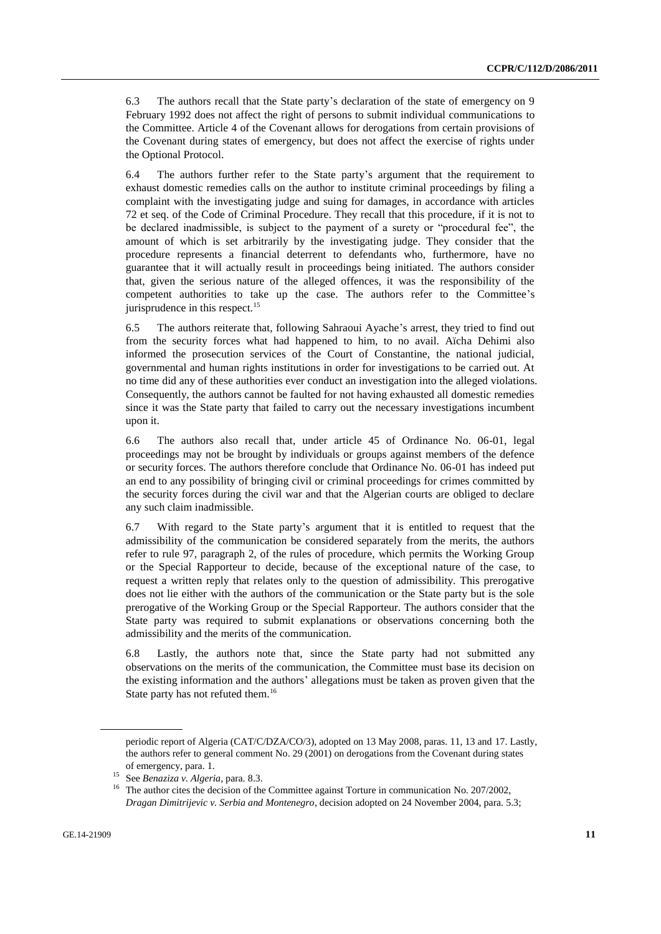6.3 The authors recall that the State party's declaration of the state of emergency on 9 February 1992 does not affect the right of persons to submit individual communications to the Committee. Article 4 of the Covenant allows for derogations from certain provisions of the Covenant during states of emergency, but does not affect the exercise of rights under the Optional Protocol.

6.4 The authors further refer to the State party's argument that the requirement to exhaust domestic remedies calls on the author to institute criminal proceedings by filing a complaint with the investigating judge and suing for damages, in accordance with articles 72 et seq. of the Code of Criminal Procedure. They recall that this procedure, if it is not to be declared inadmissible, is subject to the payment of a surety or "procedural fee", the amount of which is set arbitrarily by the investigating judge. They consider that the procedure represents a financial deterrent to defendants who, furthermore, have no guarantee that it will actually result in proceedings being initiated. The authors consider that, given the serious nature of the alleged offences, it was the responsibility of the competent authorities to take up the case. The authors refer to the Committee's jurisprudence in this respect.<sup>15</sup>

6.5 The authors reiterate that, following Sahraoui Ayache's arrest, they tried to find out from the security forces what had happened to him, to no avail. Aïcha Dehimi also informed the prosecution services of the Court of Constantine, the national judicial, governmental and human rights institutions in order for investigations to be carried out. At no time did any of these authorities ever conduct an investigation into the alleged violations. Consequently, the authors cannot be faulted for not having exhausted all domestic remedies since it was the State party that failed to carry out the necessary investigations incumbent upon it.

6.6 The authors also recall that, under article 45 of Ordinance No. 06-01, legal proceedings may not be brought by individuals or groups against members of the defence or security forces. The authors therefore conclude that Ordinance No. 06-01 has indeed put an end to any possibility of bringing civil or criminal proceedings for crimes committed by the security forces during the civil war and that the Algerian courts are obliged to declare any such claim inadmissible.

6.7 With regard to the State party's argument that it is entitled to request that the admissibility of the communication be considered separately from the merits, the authors refer to rule 97, paragraph 2, of the rules of procedure, which permits the Working Group or the Special Rapporteur to decide, because of the exceptional nature of the case, to request a written reply that relates only to the question of admissibility. This prerogative does not lie either with the authors of the communication or the State party but is the sole prerogative of the Working Group or the Special Rapporteur. The authors consider that the State party was required to submit explanations or observations concerning both the admissibility and the merits of the communication.

6.8 Lastly, the authors note that, since the State party had not submitted any observations on the merits of the communication, the Committee must base its decision on the existing information and the authors' allegations must be taken as proven given that the State party has not refuted them.<sup>16</sup>

periodic report of Algeria (CAT/C/DZA/CO/3), adopted on 13 May 2008, paras. 11, 13 and 17. Lastly, the authors refer to general comment No. 29 (2001) on derogations from the Covenant during states of emergency, para. 1.

<sup>15</sup> See *Benaziza v. Algeria*, para. 8.3.

<sup>&</sup>lt;sup>16</sup> The author cites the decision of the Committee against Torture in communication No. 207/2002, *Dragan Dimitrijevic v. Serbia and Montenegro*, decision adopted on 24 November 2004, para. 5.3;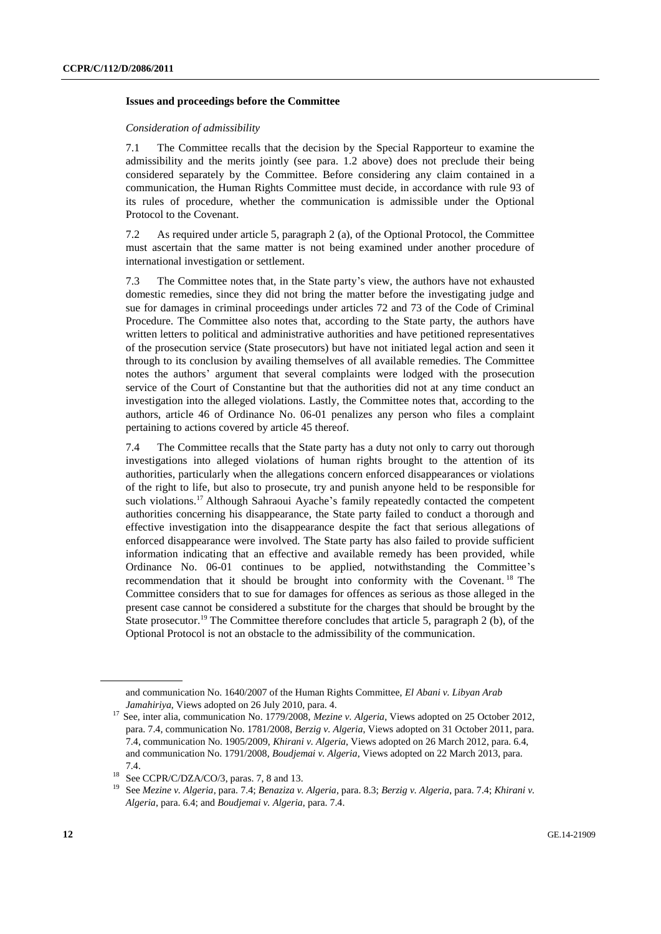#### **Issues and proceedings before the Committee**

#### *Consideration of admissibility*

7.1 The Committee recalls that the decision by the Special Rapporteur to examine the admissibility and the merits jointly (see para. 1.2 above) does not preclude their being considered separately by the Committee. Before considering any claim contained in a communication, the Human Rights Committee must decide, in accordance with rule 93 of its rules of procedure, whether the communication is admissible under the Optional Protocol to the Covenant.

7.2 As required under article 5, paragraph 2 (a), of the Optional Protocol, the Committee must ascertain that the same matter is not being examined under another procedure of international investigation or settlement.

7.3 The Committee notes that, in the State party's view, the authors have not exhausted domestic remedies, since they did not bring the matter before the investigating judge and sue for damages in criminal proceedings under articles 72 and 73 of the Code of Criminal Procedure. The Committee also notes that, according to the State party, the authors have written letters to political and administrative authorities and have petitioned representatives of the prosecution service (State prosecutors) but have not initiated legal action and seen it through to its conclusion by availing themselves of all available remedies. The Committee notes the authors' argument that several complaints were lodged with the prosecution service of the Court of Constantine but that the authorities did not at any time conduct an investigation into the alleged violations. Lastly, the Committee notes that, according to the authors, article 46 of Ordinance No. 06-01 penalizes any person who files a complaint pertaining to actions covered by article 45 thereof.

7.4 The Committee recalls that the State party has a duty not only to carry out thorough investigations into alleged violations of human rights brought to the attention of its authorities, particularly when the allegations concern enforced disappearances or violations of the right to life, but also to prosecute, try and punish anyone held to be responsible for such violations.<sup>17</sup> Although Sahraoui Ayache's family repeatedly contacted the competent authorities concerning his disappearance, the State party failed to conduct a thorough and effective investigation into the disappearance despite the fact that serious allegations of enforced disappearance were involved. The State party has also failed to provide sufficient information indicating that an effective and available remedy has been provided, while Ordinance No. 06-01 continues to be applied, notwithstanding the Committee's recommendation that it should be brought into conformity with the Covenant. <sup>18</sup> The Committee considers that to sue for damages for offences as serious as those alleged in the present case cannot be considered a substitute for the charges that should be brought by the State prosecutor.<sup>19</sup> The Committee therefore concludes that article 5, paragraph 2 (b), of the Optional Protocol is not an obstacle to the admissibility of the communication.

and communication No. 1640/2007 of the Human Rights Committee, *El Abani v. Libyan Arab Jamahiriya*, Views adopted on 26 July 2010, para. 4.

<sup>&</sup>lt;sup>17</sup> See, inter alia, communication No. 1779/2008, *Mezine v. Algeria*, Views adopted on 25 October 2012, para. 7.4, communication No. 1781/2008, *Berzig v. Algeria*, Views adopted on 31 October 2011, para. 7.4, communication No. 1905/2009, *Khirani v. Algeria*, Views adopted on 26 March 2012, para. 6.4, and communication No. 1791/2008, *Boudjemai v. Algeria*, Views adopted on 22 March 2013, para. 7.4.

<sup>&</sup>lt;sup>18</sup> See CCPR/C/DZA/CO/3, paras. 7, 8 and 13.

<sup>19</sup> See *Mezine v. Algeria*, para. 7.4; *Benaziza v. Algeria*, para. 8.3; *Berzig v. Algeria*, para. 7.4; *Khirani v. Algeria*, para. 6.4; and *Boudjemai v. Algeria*, para. 7.4.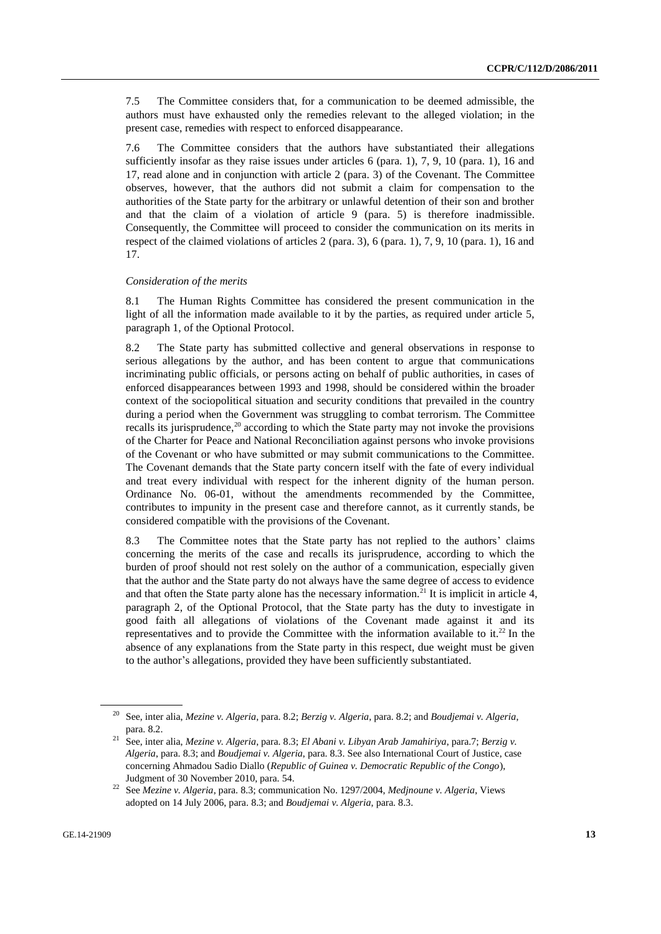7.5 The Committee considers that, for a communication to be deemed admissible, the authors must have exhausted only the remedies relevant to the alleged violation; in the present case, remedies with respect to enforced disappearance.

7.6 The Committee considers that the authors have substantiated their allegations sufficiently insofar as they raise issues under articles  $6$  (para. 1),  $7, 9, 10$  (para. 1),  $16$  and 17, read alone and in conjunction with article 2 (para. 3) of the Covenant. The Committee observes, however, that the authors did not submit a claim for compensation to the authorities of the State party for the arbitrary or unlawful detention of their son and brother and that the claim of a violation of article 9 (para. 5) is therefore inadmissible. Consequently, the Committee will proceed to consider the communication on its merits in respect of the claimed violations of articles 2 (para. 3), 6 (para. 1), 7, 9, 10 (para. 1), 16 and 17.

#### *Consideration of the merits*

8.1 The Human Rights Committee has considered the present communication in the light of all the information made available to it by the parties, as required under article 5. paragraph 1, of the Optional Protocol.

8.2 The State party has submitted collective and general observations in response to serious allegations by the author, and has been content to argue that communications incriminating public officials, or persons acting on behalf of public authorities, in cases of enforced disappearances between 1993 and 1998, should be considered within the broader context of the sociopolitical situation and security conditions that prevailed in the country during a period when the Government was struggling to combat terrorism. The Committee recalls its jurisprudence, $2<sup>0</sup>$  according to which the State party may not invoke the provisions of the Charter for Peace and National Reconciliation against persons who invoke provisions of the Covenant or who have submitted or may submit communications to the Committee. The Covenant demands that the State party concern itself with the fate of every individual and treat every individual with respect for the inherent dignity of the human person. Ordinance No. 06-01, without the amendments recommended by the Committee, contributes to impunity in the present case and therefore cannot, as it currently stands, be considered compatible with the provisions of the Covenant.

8.3 The Committee notes that the State party has not replied to the authors' claims concerning the merits of the case and recalls its jurisprudence, according to which the burden of proof should not rest solely on the author of a communication, especially given that the author and the State party do not always have the same degree of access to evidence and that often the State party alone has the necessary information.<sup>21</sup> It is implicit in article 4, paragraph 2, of the Optional Protocol, that the State party has the duty to investigate in good faith all allegations of violations of the Covenant made against it and its representatives and to provide the Committee with the information available to it.<sup>22</sup> In the absence of any explanations from the State party in this respect, due weight must be given to the author's allegations, provided they have been sufficiently substantiated.

<sup>20</sup> See, inter alia, *Mezine v. Algeria*, para. 8.2; *Berzig v. Algeria*, para. 8.2; and *Boudjemai v. Algeria*, para. 8.2.

<sup>21</sup> See, inter alia, *Mezine v. Algeria*, para. 8.3; *El Abani v. Libyan Arab Jamahiriya*, para.7; *Berzig v. Algeria*, para. 8.3; and *Boudjemai v. Algeria*, para. 8.3. See also International Court of Justice, case concerning Ahmadou Sadio Diallo (*Republic of Guinea v. Democratic Republic of the Congo*), Judgment of 30 November 2010, para. 54.

<sup>22</sup> See *Mezine v. Algeria*, para. 8.3; communication No. 1297/2004, *Medjnoune v. Algeria*, Views adopted on 14 July 2006, para. 8.3; and *Boudjemai v. Algeria*, para. 8.3.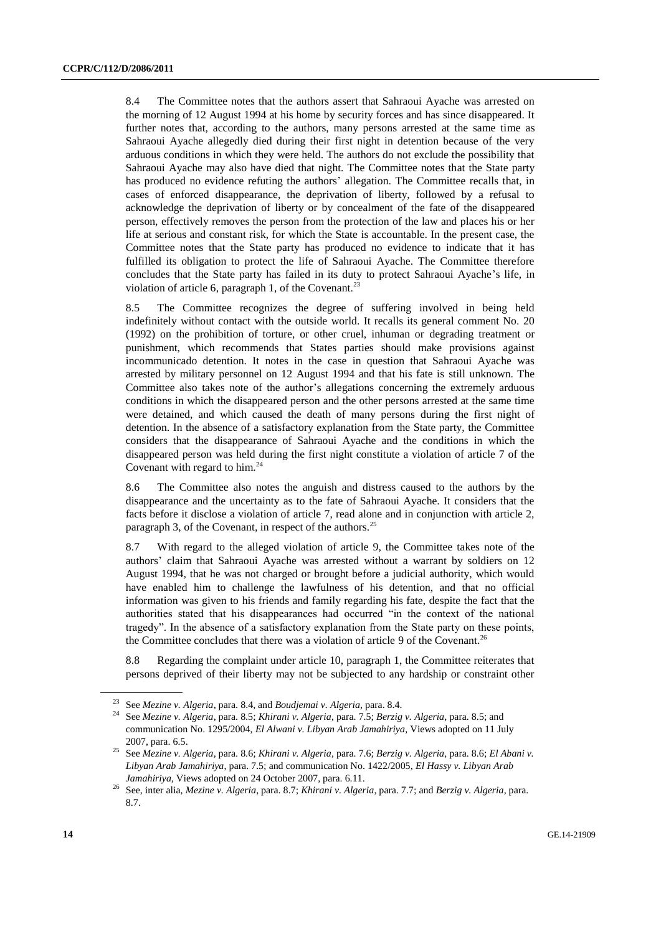8.4 The Committee notes that the authors assert that Sahraoui Ayache was arrested on the morning of 12 August 1994 at his home by security forces and has since disappeared. It further notes that, according to the authors, many persons arrested at the same time as Sahraoui Ayache allegedly died during their first night in detention because of the very arduous conditions in which they were held. The authors do not exclude the possibility that Sahraoui Ayache may also have died that night. The Committee notes that the State party has produced no evidence refuting the authors' allegation. The Committee recalls that, in cases of enforced disappearance, the deprivation of liberty, followed by a refusal to acknowledge the deprivation of liberty or by concealment of the fate of the disappeared person, effectively removes the person from the protection of the law and places his or her life at serious and constant risk, for which the State is accountable. In the present case, the Committee notes that the State party has produced no evidence to indicate that it has fulfilled its obligation to protect the life of Sahraoui Ayache. The Committee therefore concludes that the State party has failed in its duty to protect Sahraoui Ayache's life, in violation of article 6, paragraph 1, of the Covenant.<sup>23</sup>

8.5 The Committee recognizes the degree of suffering involved in being held indefinitely without contact with the outside world. It recalls its general comment No. 20 (1992) on the prohibition of torture, or other cruel, inhuman or degrading treatment or punishment, which recommends that States parties should make provisions against incommunicado detention. It notes in the case in question that Sahraoui Ayache was arrested by military personnel on 12 August 1994 and that his fate is still unknown. The Committee also takes note of the author's allegations concerning the extremely arduous conditions in which the disappeared person and the other persons arrested at the same time were detained, and which caused the death of many persons during the first night of detention. In the absence of a satisfactory explanation from the State party, the Committee considers that the disappearance of Sahraoui Ayache and the conditions in which the disappeared person was held during the first night constitute a violation of article 7 of the Covenant with regard to him.<sup>24</sup>

8.6 The Committee also notes the anguish and distress caused to the authors by the disappearance and the uncertainty as to the fate of Sahraoui Ayache. It considers that the facts before it disclose a violation of article 7, read alone and in conjunction with article 2, paragraph 3, of the Covenant, in respect of the authors.<sup>25</sup>

8.7 With regard to the alleged violation of article 9, the Committee takes note of the authors' claim that Sahraoui Ayache was arrested without a warrant by soldiers on 12 August 1994, that he was not charged or brought before a judicial authority, which would have enabled him to challenge the lawfulness of his detention, and that no official information was given to his friends and family regarding his fate, despite the fact that the authorities stated that his disappearances had occurred "in the context of the national tragedy". In the absence of a satisfactory explanation from the State party on these points, the Committee concludes that there was a violation of article 9 of the Covenant.<sup>26</sup>

8.8 Regarding the complaint under article 10, paragraph 1, the Committee reiterates that persons deprived of their liberty may not be subjected to any hardship or constraint other

<sup>23</sup> See *Mezine v. Algeria*, para. 8.4, and *Boudjemai v. Algeria*, para. 8.4.

<sup>24</sup> See *Mezine v. Algeria*, para. 8.5; *Khirani v. Algeria*, para. 7.5; *Berzig v. Algeria*, para. 8.5; and communication No. 1295/2004, *El Alwani v. Libyan Arab Jamahiriya*, Views adopted on 11 July 2007, para. 6.5.

<sup>25</sup> See *Mezine v. Algeria*, para. 8.6; *Khirani v. Algeria*, para. 7.6; *Berzig v. Algeria*, para. 8.6; *El Abani v. Libyan Arab Jamahiriya*, para. 7.5; and communication No. 1422/2005, *El Hassy v. Libyan Arab Jamahiriya*, Views adopted on 24 October 2007, para. 6.11.

<sup>26</sup> See, inter alia, *Mezine v. Algeria*, para. 8.7; *Khirani v. Algeria*, para. 7.7; and *Berzig v. Algeria*, para. 8.7.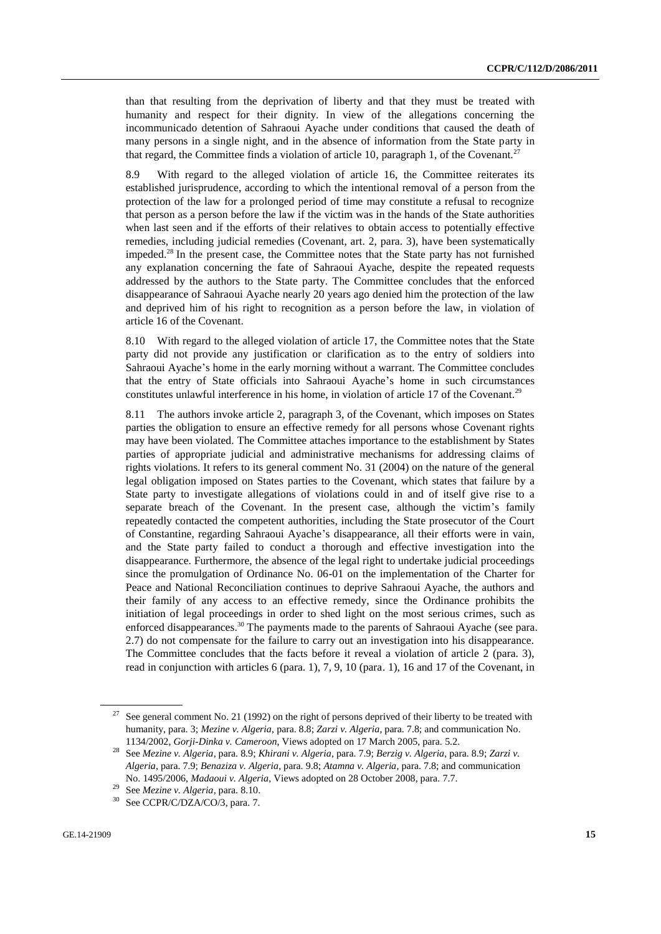than that resulting from the deprivation of liberty and that they must be treated with humanity and respect for their dignity. In view of the allegations concerning the incommunicado detention of Sahraoui Ayache under conditions that caused the death of many persons in a single night, and in the absence of information from the State party in that regard, the Committee finds a violation of article 10, paragraph 1, of the Covenant.<sup>27</sup>

8.9 With regard to the alleged violation of article 16, the Committee reiterates its established jurisprudence, according to which the intentional removal of a person from the protection of the law for a prolonged period of time may constitute a refusal to recognize that person as a person before the law if the victim was in the hands of the State authorities when last seen and if the efforts of their relatives to obtain access to potentially effective remedies, including judicial remedies (Covenant, art. 2, para. 3), have been systematically impeded.<sup>28</sup> In the present case, the Committee notes that the State party has not furnished any explanation concerning the fate of Sahraoui Ayache, despite the repeated requests addressed by the authors to the State party. The Committee concludes that the enforced disappearance of Sahraoui Ayache nearly 20 years ago denied him the protection of the law and deprived him of his right to recognition as a person before the law, in violation of article 16 of the Covenant.

8.10 With regard to the alleged violation of article 17, the Committee notes that the State party did not provide any justification or clarification as to the entry of soldiers into Sahraoui Ayache's home in the early morning without a warrant. The Committee concludes that the entry of State officials into Sahraoui Ayache's home in such circumstances constitutes unlawful interference in his home, in violation of article 17 of the Covenant.<sup>29</sup>

8.11 The authors invoke article 2, paragraph 3, of the Covenant, which imposes on States parties the obligation to ensure an effective remedy for all persons whose Covenant rights may have been violated. The Committee attaches importance to the establishment by States parties of appropriate judicial and administrative mechanisms for addressing claims of rights violations. It refers to its general comment No. 31 (2004) on the nature of the general legal obligation imposed on States parties to the Covenant, which states that failure by a State party to investigate allegations of violations could in and of itself give rise to a separate breach of the Covenant. In the present case, although the victim's family repeatedly contacted the competent authorities, including the State prosecutor of the Court of Constantine, regarding Sahraoui Ayache's disappearance, all their efforts were in vain, and the State party failed to conduct a thorough and effective investigation into the disappearance. Furthermore, the absence of the legal right to undertake judicial proceedings since the promulgation of Ordinance No. 06-01 on the implementation of the Charter for Peace and National Reconciliation continues to deprive Sahraoui Ayache, the authors and their family of any access to an effective remedy, since the Ordinance prohibits the initiation of legal proceedings in order to shed light on the most serious crimes, such as enforced disappearances.<sup>30</sup> The payments made to the parents of Sahraoui Ayache (see para. 2.7) do not compensate for the failure to carry out an investigation into his disappearance. The Committee concludes that the facts before it reveal a violation of article 2 (para. 3), read in conjunction with articles 6 (para. 1), 7, 9, 10 (para. 1), 16 and 17 of the Covenant, in

<sup>&</sup>lt;sup>27</sup> See general comment No. 21 (1992) on the right of persons deprived of their liberty to be treated with humanity, para. 3; *Mezine v. Algeria*, para. 8.8; *Zarzi v. Algeria*, para. 7.8; and communication No. 1134/2002, *Gorji-Dinka v. Cameroon*, Views adopted on 17 March 2005, para. 5.2.

<sup>28</sup> See *Mezine v. Algeria*, para. 8.9; *Khirani v. Algeria*, para. 7.9; *Berzig v. Algeria*, para. 8.9; *Zarzi v. Algeria*, para. 7.9; *Benaziza v. Algeria*, para. 9.8; *Atamna v. Algeria*, para. 7.8; and communication No. 1495/2006, *Madaoui v. Algeria*, Views adopted on 28 October 2008, para. 7.7.

<sup>&</sup>lt;sup>29</sup> See *Mezine v. Algeria*, para. 8.10.<br><sup>30</sup> See *CCDP*/*C/DZA*/*CO*/<sup>2</sup> para. 7

See CCPR/C/DZA/CO/3, para. 7.